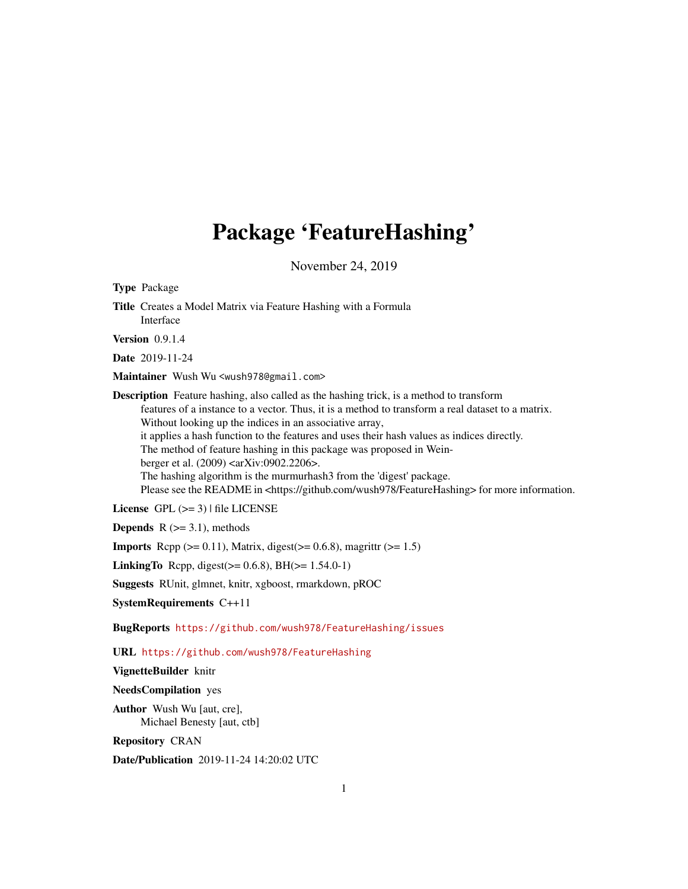# Package 'FeatureHashing'

November 24, 2019

<span id="page-0-0"></span>Type Package Title Creates a Model Matrix via Feature Hashing with a Formula Interface Version 0.9.1.4 Date 2019-11-24 Maintainer Wush Wu <wush978@gmail.com> Description Feature hashing, also called as the hashing trick, is a method to transform features of a instance to a vector. Thus, it is a method to transform a real dataset to a matrix. Without looking up the indices in an associative array, it applies a hash function to the features and uses their hash values as indices directly. The method of feature hashing in this package was proposed in Weinberger et al. (2009) <arXiv:0902.2206>. The hashing algorithm is the murmurhash3 from the 'digest' package. Please see the README in <https://github.com/wush978/FeatureHashing> for more information. License GPL  $(>= 3)$  | file LICENSE **Depends**  $R$  ( $>= 3.1$ ), methods **Imports** Rcpp  $(>= 0.11)$ , Matrix, digest $(>= 0.6.8)$ , magrittr  $(>= 1.5)$ **LinkingTo** Rcpp, digest( $>= 0.6.8$ ), BH( $>= 1.54.0-1$ ) Suggests RUnit, glmnet, knitr, xgboost, rmarkdown, pROC SystemRequirements C++11 BugReports <https://github.com/wush978/FeatureHashing/issues> URL <https://github.com/wush978/FeatureHashing>

VignetteBuilder knitr

NeedsCompilation yes

Author Wush Wu [aut, cre], Michael Benesty [aut, ctb]

Repository CRAN

Date/Publication 2019-11-24 14:20:02 UTC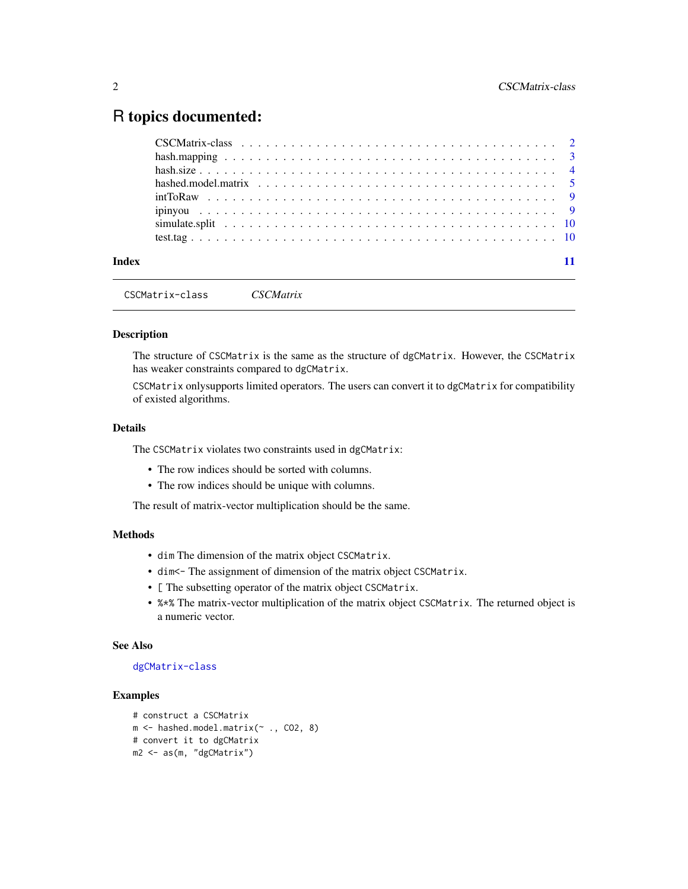# <span id="page-1-0"></span>R topics documented:

| Index |  |
|-------|--|

CSCMatrix-class *CSCMatrix*

#### Description

The structure of CSCMatrix is the same as the structure of dgCMatrix. However, the CSCMatrix has weaker constraints compared to dgCMatrix.

CSCMatrix onlysupports limited operators. The users can convert it to dgCMatrix for compatibility of existed algorithms.

# Details

The CSCMatrix violates two constraints used in dgCMatrix:

- The row indices should be sorted with columns.
- The row indices should be unique with columns.

The result of matrix-vector multiplication should be the same.

# Methods

- dim The dimension of the matrix object CSCMatrix.
- dim<- The assignment of dimension of the matrix object CSCMatrix.
- [ The subsetting operator of the matrix object CSCMatrix.
- %\*% The matrix-vector multiplication of the matrix object CSCMatrix. The returned object is a numeric vector.

# See Also

# [dgCMatrix-class](#page-0-0)

# Examples

```
# construct a CSCMatrix
m <- hashed.model.matrix(\sim ., CO2, 8)
# convert it to dgCMatrix
m2 <- as(m, "dgCMatrix")
```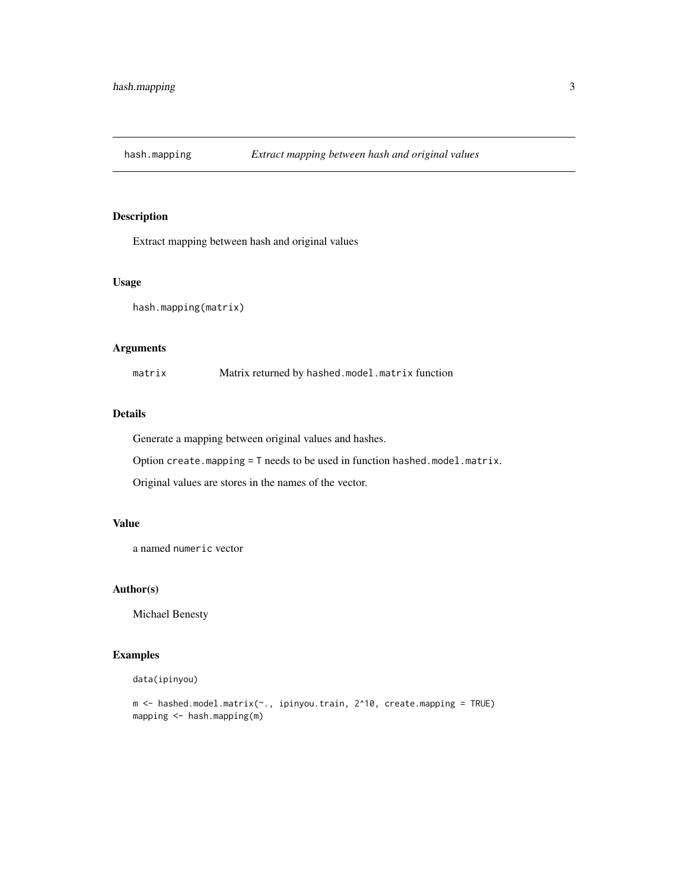<span id="page-2-0"></span>

# Description

Extract mapping between hash and original values

# Usage

```
hash.mapping(matrix)
```
### Arguments

matrix Matrix returned by hashed.model.matrix function

# Details

Generate a mapping between original values and hashes.

Option create.mapping = T needs to be used in function hashed.model.matrix.

Original values are stores in the names of the vector.

# Value

a named numeric vector

# Author(s)

Michael Benesty

# Examples

```
data(ipinyou)
```

```
m <- hashed.model.matrix(~., ipinyou.train, 2^10, create.mapping = TRUE)
mapping <- hash.mapping(m)
```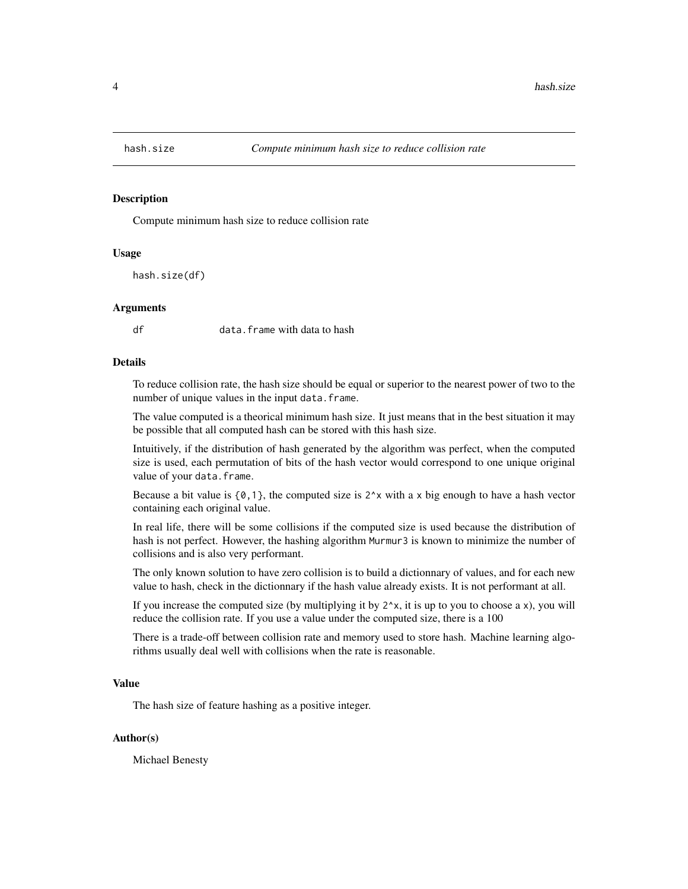<span id="page-3-0"></span>

#### Description

Compute minimum hash size to reduce collision rate

#### Usage

hash.size(df)

#### **Arguments**

df data.frame with data to hash

#### Details

To reduce collision rate, the hash size should be equal or superior to the nearest power of two to the number of unique values in the input data.frame.

The value computed is a theorical minimum hash size. It just means that in the best situation it may be possible that all computed hash can be stored with this hash size.

Intuitively, if the distribution of hash generated by the algorithm was perfect, when the computed size is used, each permutation of bits of the hash vector would correspond to one unique original value of your data.frame.

Because a bit value is  $\{0,1\}$ , the computed size is  $2^x$  with a x big enough to have a hash vector containing each original value.

In real life, there will be some collisions if the computed size is used because the distribution of hash is not perfect. However, the hashing algorithm Murmur3 is known to minimize the number of collisions and is also very performant.

The only known solution to have zero collision is to build a dictionnary of values, and for each new value to hash, check in the dictionnary if the hash value already exists. It is not performant at all.

If you increase the computed size (by multiplying it by  $2^x$ , it is up to you to choose a x), you will reduce the collision rate. If you use a value under the computed size, there is a 100

There is a trade-off between collision rate and memory used to store hash. Machine learning algorithms usually deal well with collisions when the rate is reasonable.

#### Value

The hash size of feature hashing as a positive integer.

#### Author(s)

Michael Benesty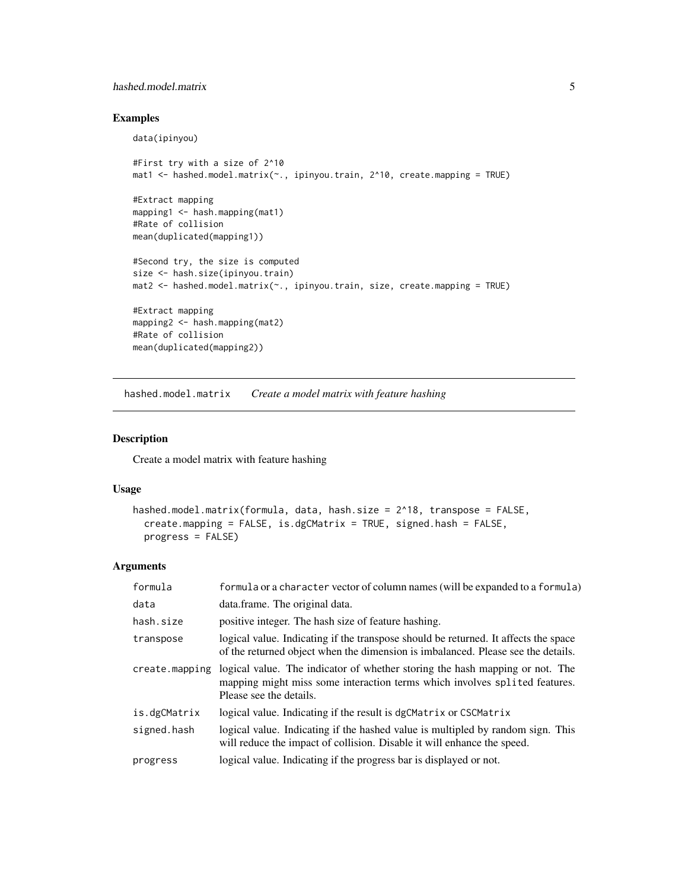# <span id="page-4-0"></span>hashed.model.matrix 5

# Examples

```
data(ipinyou)
#First try with a size of 2^10
mat1 <- hashed.model.matrix(~., ipinyou.train, 2^10, create.mapping = TRUE)
#Extract mapping
mapping1 <- hash.mapping(mat1)
#Rate of collision
mean(duplicated(mapping1))
#Second try, the size is computed
size <- hash.size(ipinyou.train)
mat2 <- hashed.model.matrix(\sim., ipinyou.train, size, create.mapping = TRUE)
#Extract mapping
mapping2 <- hash.mapping(mat2)
#Rate of collision
mean(duplicated(mapping2))
```
hashed.model.matrix *Create a model matrix with feature hashing*

### <span id="page-4-1"></span>Description

Create a model matrix with feature hashing

#### Usage

```
hashed.model.matrix(formula, data, hash.size = 2^18, transpose = FALSE,
  create.mapping = FALSE, is.dgCMatrix = TRUE, signed.hash = FALSE,
 progress = FALSE)
```
#### Arguments

| formula        | formula or a character vector of column names (will be expanded to a formula)                                                                                                         |
|----------------|---------------------------------------------------------------------------------------------------------------------------------------------------------------------------------------|
| data           | data.frame. The original data.                                                                                                                                                        |
| hash.size      | positive integer. The hash size of feature hashing.                                                                                                                                   |
| transpose      | logical value. Indicating if the transpose should be returned. It affects the space<br>of the returned object when the dimension is imbalanced. Please see the details.               |
| create.mapping | logical value. The indicator of whether storing the hash mapping or not. The<br>mapping might miss some interaction terms which involves splited features.<br>Please see the details. |
| is.dgCMatrix   | logical value. Indicating if the result is dgCMatrix or CSCMatrix                                                                                                                     |
| signed.hash    | logical value. Indicating if the hashed value is multipled by random sign. This<br>will reduce the impact of collision. Disable it will enhance the speed.                            |
| progress       | logical value. Indicating if the progress bar is displayed or not.                                                                                                                    |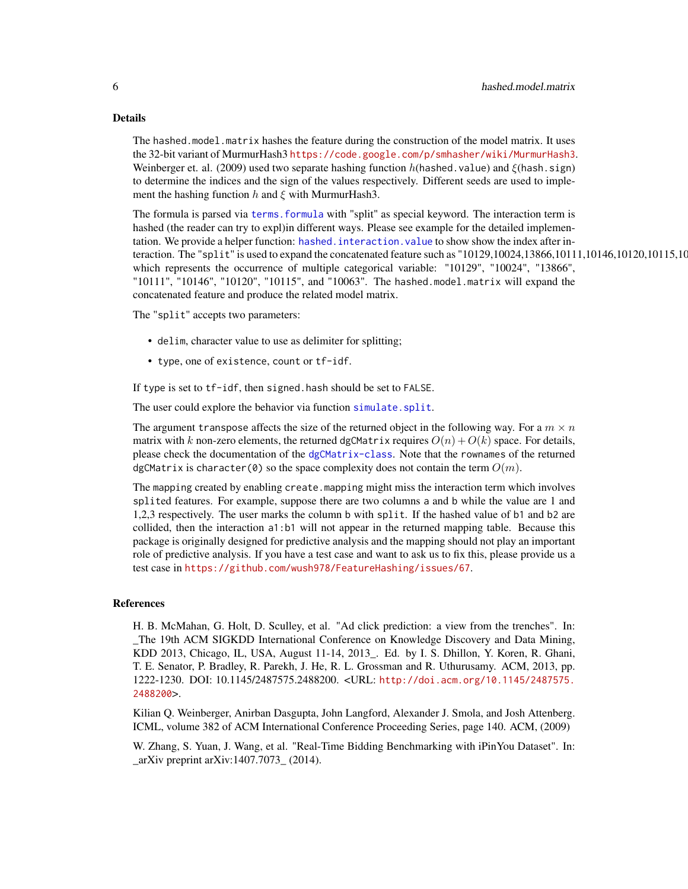#### <span id="page-5-0"></span>Details

The hashed.model.matrix hashes the feature during the construction of the model matrix. It uses the 32-bit variant of MurmurHash3 <https://code.google.com/p/smhasher/wiki/MurmurHash3>. Weinberger et. al. (2009) used two separate hashing function  $h$ (hashed.value) and  $\xi$ (hash.sign) to determine the indices and the sign of the values respectively. Different seeds are used to implement the hashing function h and  $\xi$  with MurmurHash3.

The formula is parsed via [terms.formula](#page-0-0) with "split" as special keyword. The interaction term is hashed (the reader can try to expl)in different ways. Please see example for the detailed implementation. We provide a helper function: [hashed.interaction.value](#page-4-1) to show show the index after interaction. The "split" is used to expand the concatenated feature such as " $10129,10024,13866,10111,10146,10120,10115,1000$ which represents the occurrence of multiple categorical variable: "10129", "10024", "13866", "10111", "10146", "10120", "10115", and "10063". The hashed.model.matrix will expand the concatenated feature and produce the related model matrix.

The "split" accepts two parameters:

- delim, character value to use as delimiter for splitting;
- type, one of existence, count or tf-idf.

If type is set to tf-idf, then signed.hash should be set to FALSE.

The user could explore the behavior via function [simulate.split](#page-9-1).

The argument transpose affects the size of the returned object in the following way. For a  $m \times n$ matrix with k non-zero elements, the returned dgCMatrix requires  $O(n) + O(k)$  space. For details, please check the documentation of the [dgCMatrix-class](#page-0-0). Note that the rownames of the returned dgCMatrix is character(0) so the space complexity does not contain the term  $O(m)$ .

The mapping created by enabling create.mapping might miss the interaction term which involves splited features. For example, suppose there are two columns a and b while the value are 1 and 1,2,3 respectively. The user marks the column b with split. If the hashed value of b1 and b2 are collided, then the interaction a1:b1 will not appear in the returned mapping table. Because this package is originally designed for predictive analysis and the mapping should not play an important role of predictive analysis. If you have a test case and want to ask us to fix this, please provide us a test case in <https://github.com/wush978/FeatureHashing/issues/67>.

#### References

H. B. McMahan, G. Holt, D. Sculley, et al. "Ad click prediction: a view from the trenches". In: \_The 19th ACM SIGKDD International Conference on Knowledge Discovery and Data Mining, KDD 2013, Chicago, IL, USA, August 11-14, 2013\_. Ed. by I. S. Dhillon, Y. Koren, R. Ghani, T. E. Senator, P. Bradley, R. Parekh, J. He, R. L. Grossman and R. Uthurusamy. ACM, 2013, pp. 1222-1230. DOI: 10.1145/2487575.2488200. <URL: [http://doi.acm.org/10.1145/2487575.](http://doi.acm.org/10.1145/2487575.2488200) [2488200](http://doi.acm.org/10.1145/2487575.2488200)>.

Kilian Q. Weinberger, Anirban Dasgupta, John Langford, Alexander J. Smola, and Josh Attenberg. ICML, volume 382 of ACM International Conference Proceeding Series, page 140. ACM, (2009)

W. Zhang, S. Yuan, J. Wang, et al. "Real-Time Bidding Benchmarking with iPinYou Dataset". In: \_arXiv preprint arXiv:1407.7073\_ (2014).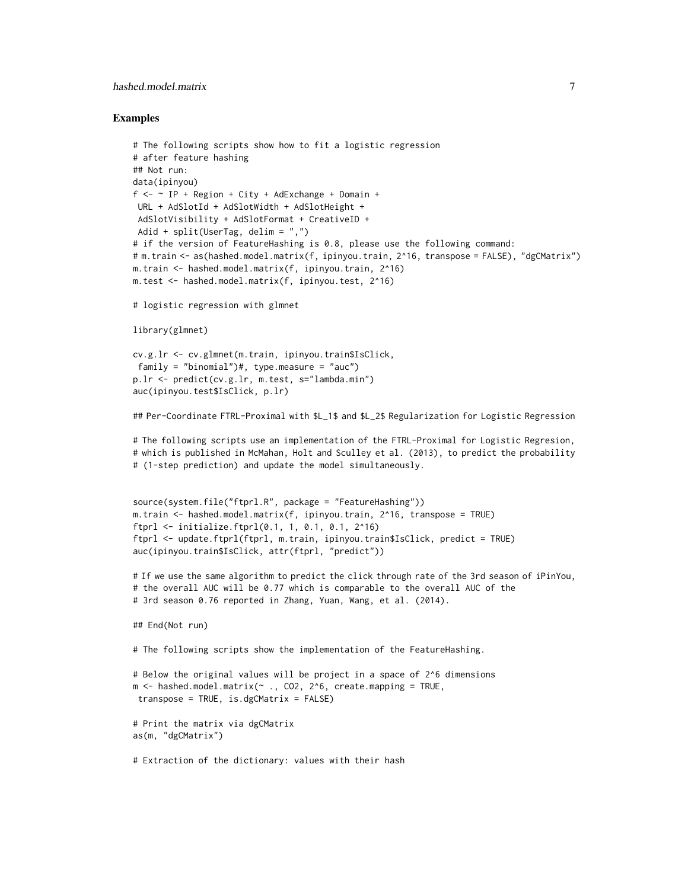# hashed.model.matrix 7

#### Examples

```
# The following scripts show how to fit a logistic regression
# after feature hashing
## Not run:
data(ipinyou)
f \leftarrow \sim IP + \text{Region} + \text{City} + \text{AdExchange} + \text{Domain} + \text{f}URL + AdSlotId + AdSlotWidth + AdSlotHeight +
 AdSlotVisibility + AdSlotFormat + CreativeID +
Adid + split(UserTag, delim = ",")
# if the version of FeatureHashing is 0.8, please use the following command:
# m.train <- as(hashed.model.matrix(f, ipinyou.train, 2^16, transpose = FALSE), "dgCMatrix")
m.train <- hashed.model.matrix(f, ipinyou.train, 2^16)
m.test <- hashed.model.matrix(f, ipinyou.test, 2^16)
```
# logistic regression with glmnet

library(glmnet)

```
cv.g.lr <- cv.glmnet(m.train, ipinyou.train$IsClick,
family = "binomial")#, type.measure = "auc")
p.lr <- predict(cv.g.lr, m.test, s="lambda.min")
auc(ipinyou.test$IsClick, p.lr)
```
## Per-Coordinate FTRL-Proximal with \$L\_1\$ and \$L\_2\$ Regularization for Logistic Regression

# The following scripts use an implementation of the FTRL-Proximal for Logistic Regresion, # which is published in McMahan, Holt and Sculley et al. (2013), to predict the probability # (1-step prediction) and update the model simultaneously.

```
source(system.file("ftprl.R", package = "FeatureHashing"))
m.train <- hashed.model.matrix(f, ipinyou.train, 2^16, transpose = TRUE)
ftprl <- initialize.ftprl(0.1, 1, 0.1, 0.1, 2^16)
ftprl <- update.ftprl(ftprl, m.train, ipinyou.train$IsClick, predict = TRUE)
auc(ipinyou.train$IsClick, attr(ftprl, "predict"))
```

```
# If we use the same algorithm to predict the click through rate of the 3rd season of iPinYou,
# the overall AUC will be 0.77 which is comparable to the overall AUC of the
# 3rd season 0.76 reported in Zhang, Yuan, Wang, et al. (2014).
```

```
## End(Not run)
```
# The following scripts show the implementation of the FeatureHashing.

```
# Below the original values will be project in a space of 2^6 dimensions
m <- hashed.model.matrix(~ ., CO2, 2^6, create.mapping = TRUE,
transpose = TRUE, is.dgCMatrix = FALSE)
```

```
# Print the matrix via dgCMatrix
as(m, "dgCMatrix")
```
# Extraction of the dictionary: values with their hash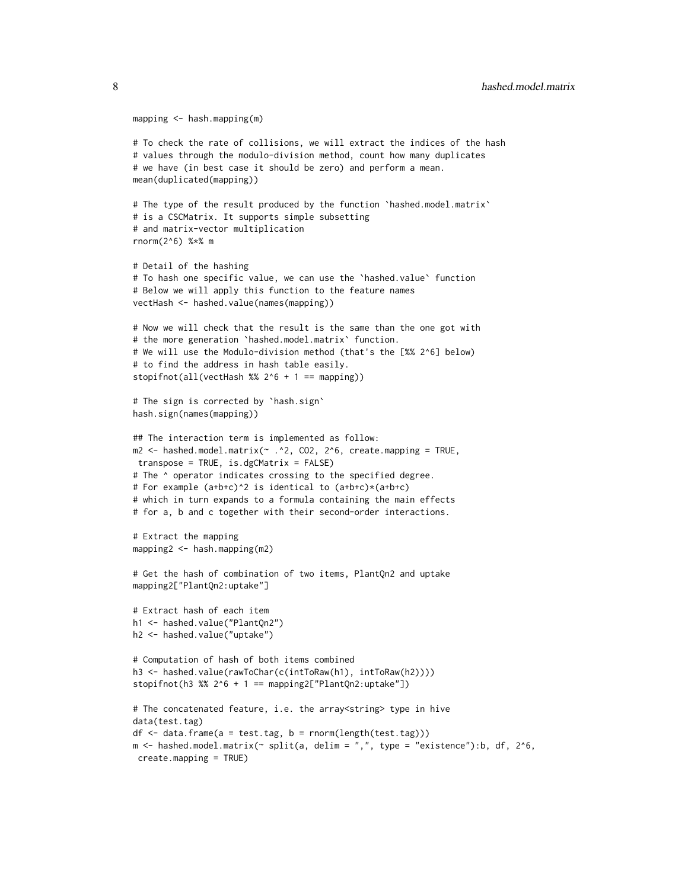```
mapping <- hash.mapping(m)
```

```
# To check the rate of collisions, we will extract the indices of the hash
# values through the modulo-division method, count how many duplicates
# we have (in best case it should be zero) and perform a mean.
mean(duplicated(mapping))
# The type of the result produced by the function `hashed.model.matrix`
# is a CSCMatrix. It supports simple subsetting
# and matrix-vector multiplication
rnorm(2^6) %*% m
# Detail of the hashing
# To hash one specific value, we can use the `hashed.value` function
# Below we will apply this function to the feature names
vectHash <- hashed.value(names(mapping))
# Now we will check that the result is the same than the one got with
# the more generation `hashed.model.matrix` function.
# We will use the Modulo-division method (that's the [%% 2^6] below)
# to find the address in hash table easily.
stopifnot(all(vectHash %% 2^6 + 1 = mapping))
# The sign is corrected by `hash.sign`
hash.sign(names(mapping))
## The interaction term is implemented as follow:
m2 < - hashed.model.matrix(\sim .\textdegree2, CO2, 2\textdegree6, create.mapping = TRUE,
transpose = TRUE, is.dgCMatrix = FALSE)
# The ^ operator indicates crossing to the specified degree.
# For example (a+b+c)^2 is identical to (a+b+c)*(a+b+c)
# which in turn expands to a formula containing the main effects
# for a, b and c together with their second-order interactions.
# Extract the mapping
mapping2 <- hash.mapping(m2)
# Get the hash of combination of two items, PlantQn2 and uptake
mapping2["PlantQn2:uptake"]
# Extract hash of each item
h1 <- hashed.value("PlantQn2")
h2 <- hashed.value("uptake")
# Computation of hash of both items combined
h3 <- hashed.value(rawToChar(c(intToRaw(h1), intToRaw(h2))))
stopifnot(h3 %% 2^6 + 1 == mapping2["PlantQn2:uptake"])
# The concatenated feature, i.e. the array<string> type in hive
data(test.tag)
df \leq data.frame(a = test.tag, b = rnorm(length(test.tag)))
m \le - hashed.model.matrix(\sim split(a, delim = ",", type = "existence"):b, df, 2^6,
 create.mapping = TRUE)
```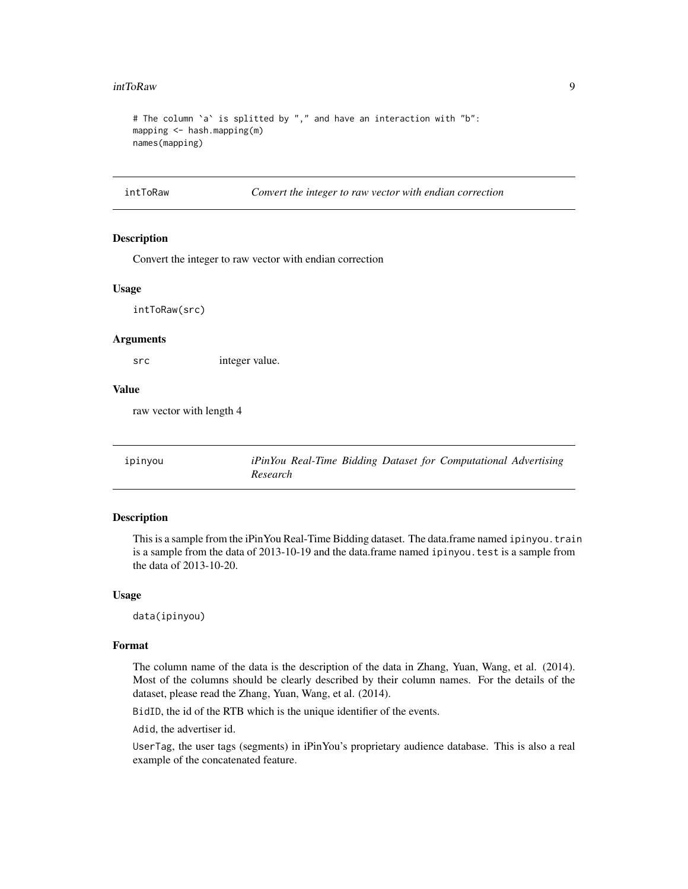#### <span id="page-8-0"></span>intToRaw 9

```
# The column `a` is splitted by "," and have an interaction with "b":
mapping <- hash.mapping(m)
names(mapping)
```
intToRaw *Convert the integer to raw vector with endian correction*

#### Description

Convert the integer to raw vector with endian correction

#### Usage

intToRaw(src)

#### Arguments

src integer value.

#### Value

raw vector with length 4

ipinyou *iPinYou Real-Time Bidding Dataset for Computational Advertising Research*

# **Description**

This is a sample from the iPinYou Real-Time Bidding dataset. The data.frame named ipinyou.train is a sample from the data of 2013-10-19 and the data.frame named ipinyou.test is a sample from the data of 2013-10-20.

#### Usage

data(ipinyou)

#### Format

The column name of the data is the description of the data in Zhang, Yuan, Wang, et al. (2014). Most of the columns should be clearly described by their column names. For the details of the dataset, please read the Zhang, Yuan, Wang, et al. (2014).

BidID, the id of the RTB which is the unique identifier of the events.

Adid, the advertiser id.

UserTag, the user tags (segments) in iPinYou's proprietary audience database. This is also a real example of the concatenated feature.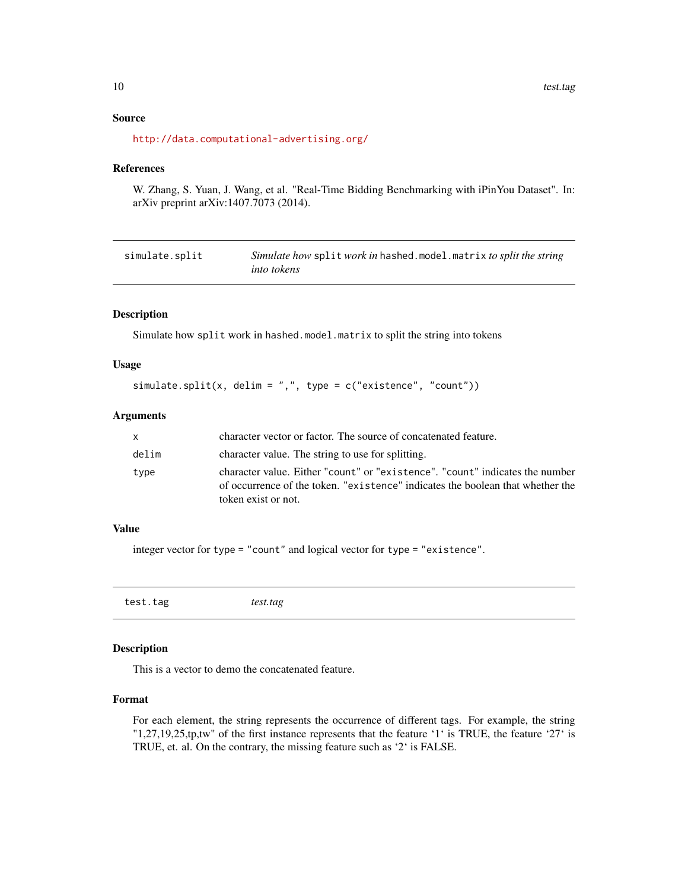# Source

<http://data.computational-advertising.org/>

#### References

W. Zhang, S. Yuan, J. Wang, et al. "Real-Time Bidding Benchmarking with iPinYou Dataset". In: arXiv preprint arXiv:1407.7073 (2014).

<span id="page-9-1"></span>

| simulate.split | Simulate how split work in hashed.model.matrix to split the string |
|----------------|--------------------------------------------------------------------|
|                | <i>into tokens</i>                                                 |

# Description

Simulate how split work in hashed.model.matrix to split the string into tokens

# Usage

```
simulate.split(x, delim = ",", type = c("existence", "count"))
```
# Arguments

| X.    | character vector or factor. The source of concatenated feature.                                                                                                                       |
|-------|---------------------------------------------------------------------------------------------------------------------------------------------------------------------------------------|
| delim | character value. The string to use for splitting.                                                                                                                                     |
| type  | character value. Either "count" or "existence". "count" indicates the number<br>of occurrence of the token. "existence" indicates the boolean that whether the<br>token exist or not. |

# Value

integer vector for type = "count" and logical vector for type = "existence".

test.tag *test.tag*

# Description

This is a vector to demo the concatenated feature.

#### Format

For each element, the string represents the occurrence of different tags. For example, the string "1,27,19,25,tp,tw" of the first instance represents that the feature '1' is TRUE, the feature '27' is TRUE, et. al. On the contrary, the missing feature such as '2' is FALSE.

<span id="page-9-0"></span>